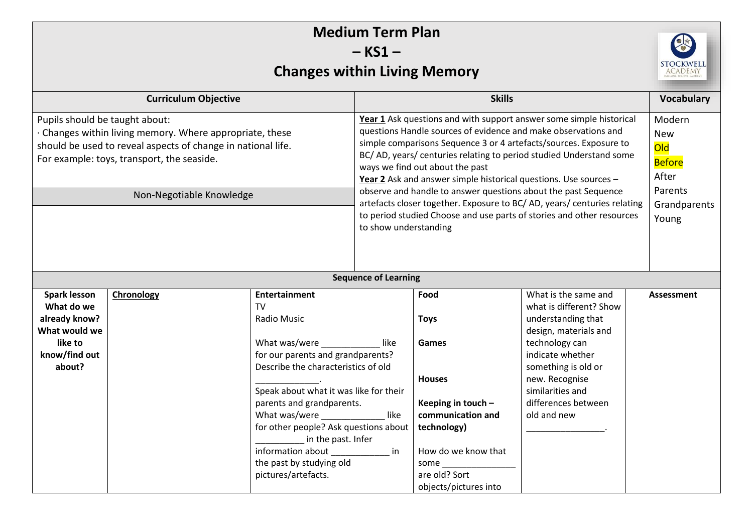| <b>Medium Term Plan</b><br>$-KS1 -$                                                                                                                                                                                                  |            |                                                                                                                                                                                                                                                                                                                                                                                                                                                                                                                                                                                                                                       |                             |                                                                                                                                                                                  |                                                                                                                                                                                                                                         |                   |  |  |
|--------------------------------------------------------------------------------------------------------------------------------------------------------------------------------------------------------------------------------------|------------|---------------------------------------------------------------------------------------------------------------------------------------------------------------------------------------------------------------------------------------------------------------------------------------------------------------------------------------------------------------------------------------------------------------------------------------------------------------------------------------------------------------------------------------------------------------------------------------------------------------------------------------|-----------------------------|----------------------------------------------------------------------------------------------------------------------------------------------------------------------------------|-----------------------------------------------------------------------------------------------------------------------------------------------------------------------------------------------------------------------------------------|-------------------|--|--|
| <b>STOCKWEL</b><br><b>Changes within Living Memory</b>                                                                                                                                                                               |            |                                                                                                                                                                                                                                                                                                                                                                                                                                                                                                                                                                                                                                       |                             |                                                                                                                                                                                  |                                                                                                                                                                                                                                         |                   |  |  |
| <b>Curriculum Objective</b>                                                                                                                                                                                                          |            |                                                                                                                                                                                                                                                                                                                                                                                                                                                                                                                                                                                                                                       | <b>Skills</b>               |                                                                                                                                                                                  |                                                                                                                                                                                                                                         | <b>Vocabulary</b> |  |  |
| Pupils should be taught about:<br>· Changes within living memory. Where appropriate, these<br>should be used to reveal aspects of change in national life.<br>For example: toys, transport, the seaside.<br>Non-Negotiable Knowledge |            | Year 1 Ask questions and with support answer some simple historical<br>questions Handle sources of evidence and make observations and<br>simple comparisons Sequence 3 or 4 artefacts/sources. Exposure to<br>BC/AD, years/centuries relating to period studied Understand some<br>ways we find out about the past<br>Year 2 Ask and answer simple historical questions. Use sources -<br>observe and handle to answer questions about the past Sequence<br>artefacts closer together. Exposure to BC/AD, years/ centuries relating<br>to period studied Choose and use parts of stories and other resources<br>to show understanding |                             |                                                                                                                                                                                  | Modern<br><b>New</b><br><b>Old</b><br><b>Before</b><br>After<br>Parents<br>Grandparents<br>Young                                                                                                                                        |                   |  |  |
|                                                                                                                                                                                                                                      |            |                                                                                                                                                                                                                                                                                                                                                                                                                                                                                                                                                                                                                                       | <b>Sequence of Learning</b> |                                                                                                                                                                                  |                                                                                                                                                                                                                                         |                   |  |  |
| <b>Spark lesson</b><br>What do we<br>already know?<br>What would we<br>like to<br>know/find out<br>about?                                                                                                                            | Chronology | <b>Entertainment</b><br><b>TV</b><br>Radio Music<br>What was/were<br>for our parents and grandparents?<br>Describe the characteristics of old<br>Speak about what it was like for their<br>parents and grandparents.<br>What was/were<br>for other people? Ask questions about  <br>in the past. Infer<br>information about in in<br>the past by studying old<br>pictures/artefacts.                                                                                                                                                                                                                                                  | like<br>like                | Food<br><b>Toys</b><br>Games<br><b>Houses</b><br>Keeping in touch -<br>communication and<br>technology)<br>How do we know that<br>some<br>are old? Sort<br>objects/pictures into | What is the same and<br>what is different? Show<br>understanding that<br>design, materials and<br>technology can<br>indicate whether<br>something is old or<br>new. Recognise<br>similarities and<br>differences between<br>old and new | Assessment        |  |  |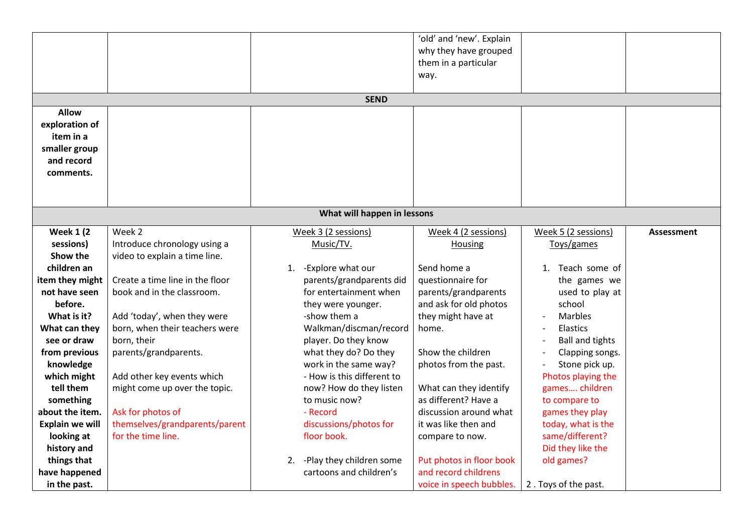|                             |                                 |                              | 'old' and 'new'. Explain |                        |                   |  |  |  |  |
|-----------------------------|---------------------------------|------------------------------|--------------------------|------------------------|-------------------|--|--|--|--|
|                             |                                 |                              | why they have grouped    |                        |                   |  |  |  |  |
|                             |                                 |                              | them in a particular     |                        |                   |  |  |  |  |
|                             |                                 |                              | way.                     |                        |                   |  |  |  |  |
|                             |                                 |                              |                          |                        |                   |  |  |  |  |
|                             | <b>SEND</b>                     |                              |                          |                        |                   |  |  |  |  |
| <b>Allow</b>                |                                 |                              |                          |                        |                   |  |  |  |  |
| exploration of              |                                 |                              |                          |                        |                   |  |  |  |  |
| item in a                   |                                 |                              |                          |                        |                   |  |  |  |  |
| smaller group               |                                 |                              |                          |                        |                   |  |  |  |  |
| and record                  |                                 |                              |                          |                        |                   |  |  |  |  |
| comments.                   |                                 |                              |                          |                        |                   |  |  |  |  |
|                             |                                 |                              |                          |                        |                   |  |  |  |  |
|                             |                                 |                              |                          |                        |                   |  |  |  |  |
| What will happen in lessons |                                 |                              |                          |                        |                   |  |  |  |  |
|                             |                                 |                              |                          |                        |                   |  |  |  |  |
| <b>Week 1 (2)</b>           | Week 2                          | Week 3 (2 sessions)          | Week 4 (2 sessions)      | Week 5 (2 sessions)    | <b>Assessment</b> |  |  |  |  |
| sessions)                   | Introduce chronology using a    | Music/TV.                    | <b>Housing</b>           | Toys/games             |                   |  |  |  |  |
| Show the                    | video to explain a time line.   |                              |                          |                        |                   |  |  |  |  |
| children an                 |                                 | 1. - Explore what our        | Send home a              | 1. Teach some of       |                   |  |  |  |  |
| item they might             | Create a time line in the floor | parents/grandparents did     | questionnaire for        | the games we           |                   |  |  |  |  |
| not have seen               | book and in the classroom.      | for entertainment when       | parents/grandparents     | used to play at        |                   |  |  |  |  |
| before.                     |                                 | they were younger.           | and ask for old photos   | school                 |                   |  |  |  |  |
| What is it?                 | Add 'today', when they were     | -show them a                 | they might have at       | <b>Marbles</b>         |                   |  |  |  |  |
| What can they               | born, when their teachers were  | Walkman/discman/record       | home.                    | Elastics               |                   |  |  |  |  |
| see or draw                 | born, their                     | player. Do they know         |                          | <b>Ball and tights</b> |                   |  |  |  |  |
| from previous               | parents/grandparents.           | what they do? Do they        | Show the children        | Clapping songs.        |                   |  |  |  |  |
| knowledge                   |                                 | work in the same way?        | photos from the past.    | Stone pick up.         |                   |  |  |  |  |
| which might                 | Add other key events which      | - How is this different to   |                          | Photos playing the     |                   |  |  |  |  |
| tell them                   | might come up over the topic.   | now? How do they listen      | What can they identify   | games children         |                   |  |  |  |  |
| something                   |                                 | to music now?                | as different? Have a     | to compare to          |                   |  |  |  |  |
| about the item.             | Ask for photos of               | - Record                     | discussion around what   | games they play        |                   |  |  |  |  |
| <b>Explain we will</b>      | themselves/grandparents/parent  | discussions/photos for       | it was like then and     | today, what is the     |                   |  |  |  |  |
| looking at                  | for the time line.              | floor book.                  | compare to now.          | same/different?        |                   |  |  |  |  |
| history and                 |                                 |                              |                          | Did they like the      |                   |  |  |  |  |
| things that                 |                                 | 2. - Play they children some | Put photos in floor book | old games?             |                   |  |  |  |  |
| have happened               |                                 | cartoons and children's      | and record childrens     |                        |                   |  |  |  |  |
| in the past.                |                                 |                              | voice in speech bubbles. | 2. Toys of the past.   |                   |  |  |  |  |